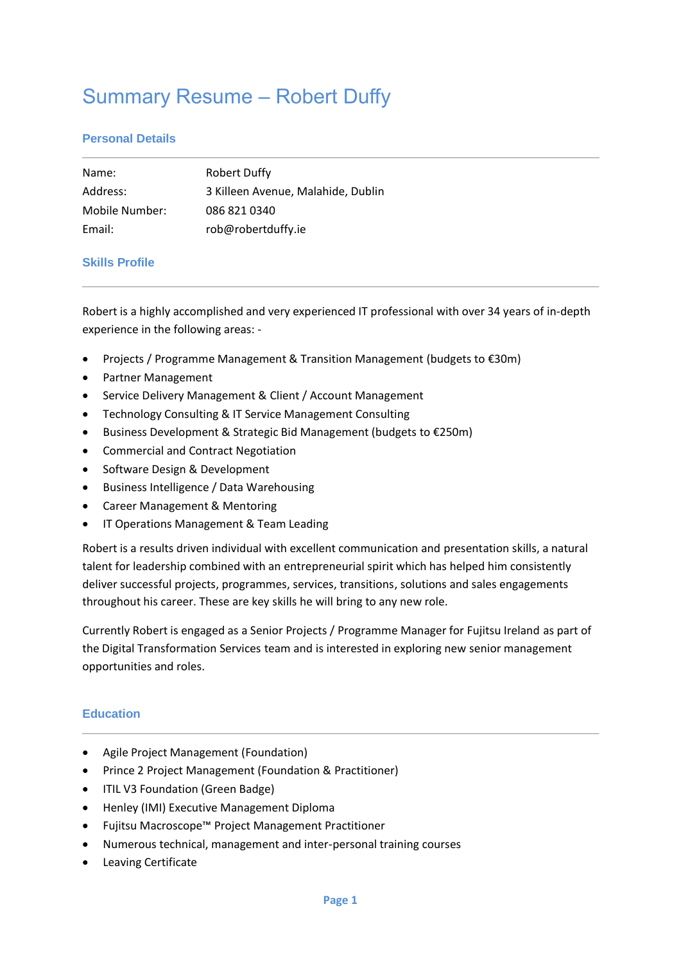# Summary Resume – Robert Duffy

# **Personal Details**

| Name:          | <b>Robert Duffy</b>                |
|----------------|------------------------------------|
| Address:       | 3 Killeen Avenue, Malahide, Dublin |
| Mobile Number: | 086 821 0340                       |
| Email:         | rob@robertduffy.ie                 |

# **Skills Profile**

Robert is a highly accomplished and very experienced IT professional with over 34 years of in-depth experience in the following areas: -

- Projects / Programme Management & Transition Management (budgets to €30m)
- Partner Management
- Service Delivery Management & Client / Account Management
- Technology Consulting & IT Service Management Consulting
- Business Development & Strategic Bid Management (budgets to €250m)
- Commercial and Contract Negotiation
- Software Design & Development
- Business Intelligence / Data Warehousing
- Career Management & Mentoring
- IT Operations Management & Team Leading

Robert is a results driven individual with excellent communication and presentation skills, a natural talent for leadership combined with an entrepreneurial spirit which has helped him consistently deliver successful projects, programmes, services, transitions, solutions and sales engagements throughout his career. These are key skills he will bring to any new role.

Currently Robert is engaged as a Senior Projects / Programme Manager for Fujitsu Ireland as part of the Digital Transformation Services team and is interested in exploring new senior management opportunities and roles.

#### **Education**

- Agile Project Management (Foundation)
- Prince 2 Project Management (Foundation & Practitioner)
- ITIL V3 Foundation (Green Badge)
- Henley (IMI) Executive Management Diploma
- Fujitsu Macroscope™ Project Management Practitioner
- Numerous technical, management and inter-personal training courses
- Leaving Certificate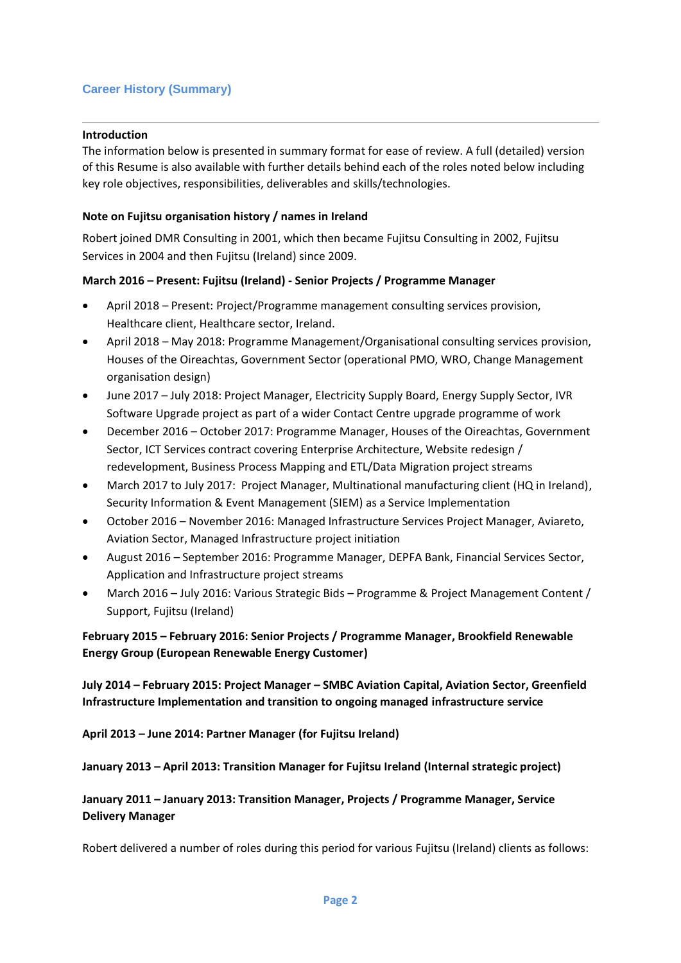# **Career History (Summary)**

#### **Introduction**

The information below is presented in summary format for ease of review. A full (detailed) version of this Resume is also available with further details behind each of the roles noted below including key role objectives, responsibilities, deliverables and skills/technologies.

## **Note on Fujitsu organisation history / names in Ireland**

Robert joined DMR Consulting in 2001, which then became Fujitsu Consulting in 2002, Fujitsu Services in 2004 and then Fujitsu (Ireland) since 2009.

#### **March 2016 – Present: Fujitsu (Ireland) - Senior Projects / Programme Manager**

- April 2018 Present: Project/Programme management consulting services provision, Healthcare client, Healthcare sector, Ireland.
- April 2018 May 2018: Programme Management/Organisational consulting services provision, Houses of the Oireachtas, Government Sector (operational PMO, WRO, Change Management organisation design)
- June 2017 July 2018: Project Manager, Electricity Supply Board, Energy Supply Sector, IVR Software Upgrade project as part of a wider Contact Centre upgrade programme of work
- December 2016 October 2017: Programme Manager, Houses of the Oireachtas, Government Sector, ICT Services contract covering Enterprise Architecture, Website redesign / redevelopment, Business Process Mapping and ETL/Data Migration project streams
- March 2017 to July 2017: Project Manager, Multinational manufacturing client (HQ in Ireland), Security Information & Event Management (SIEM) as a Service Implementation
- October 2016 November 2016: Managed Infrastructure Services Project Manager, Aviareto, Aviation Sector, Managed Infrastructure project initiation
- August 2016 September 2016: Programme Manager, DEPFA Bank, Financial Services Sector, Application and Infrastructure project streams
- March 2016 July 2016: Various Strategic Bids Programme & Project Management Content / Support, Fujitsu (Ireland)

# **February 2015 – February 2016: Senior Projects / Programme Manager, Brookfield Renewable Energy Group (European Renewable Energy Customer)**

**July 2014 – February 2015: Project Manager – SMBC Aviation Capital, Aviation Sector, Greenfield Infrastructure Implementation and transition to ongoing managed infrastructure service**

**April 2013 – June 2014: Partner Manager (for Fujitsu Ireland)**

**January 2013 – April 2013: Transition Manager for Fujitsu Ireland (Internal strategic project)**

# **January 2011 – January 2013: Transition Manager, Projects / Programme Manager, Service Delivery Manager**

Robert delivered a number of roles during this period for various Fujitsu (Ireland) clients as follows: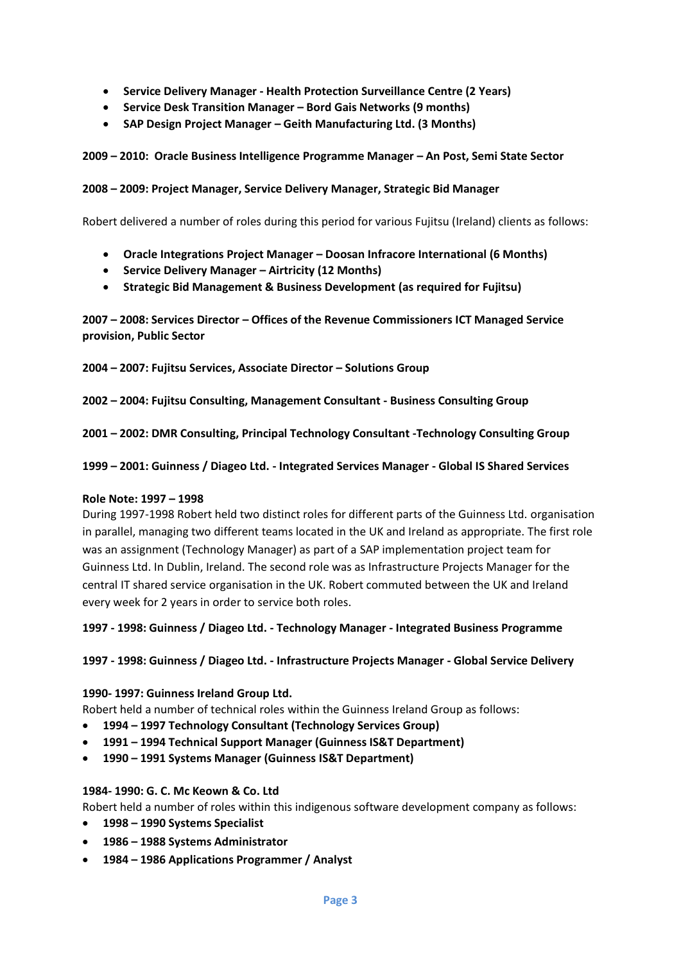- **Service Delivery Manager - Health Protection Surveillance Centre (2 Years)**
- **Service Desk Transition Manager – Bord Gais Networks (9 months)**
- **SAP Design Project Manager – Geith Manufacturing Ltd. (3 Months)**

## **2009 – 2010: Oracle Business Intelligence Programme Manager – An Post, Semi State Sector**

#### **2008 – 2009: Project Manager, Service Delivery Manager, Strategic Bid Manager**

Robert delivered a number of roles during this period for various Fujitsu (Ireland) clients as follows:

- **Oracle Integrations Project Manager – Doosan Infracore International (6 Months)**
- **Service Delivery Manager – Airtricity (12 Months)**
- **Strategic Bid Management & Business Development (as required for Fujitsu)**

**2007 – 2008: Services Director – Offices of the Revenue Commissioners ICT Managed Service provision, Public Sector**

**2004 – 2007: Fujitsu Services, Associate Director – Solutions Group**

**2002 – 2004: Fujitsu Consulting, Management Consultant - Business Consulting Group**

**2001 – 2002: DMR Consulting, Principal Technology Consultant -Technology Consulting Group** 

**1999 – 2001: Guinness / Diageo Ltd. - Integrated Services Manager - Global IS Shared Services** 

#### **Role Note: 1997 – 1998**

During 1997-1998 Robert held two distinct roles for different parts of the Guinness Ltd. organisation in parallel, managing two different teams located in the UK and Ireland as appropriate. The first role was an assignment (Technology Manager) as part of a SAP implementation project team for Guinness Ltd. In Dublin, Ireland. The second role was as Infrastructure Projects Manager for the central IT shared service organisation in the UK. Robert commuted between the UK and Ireland every week for 2 years in order to service both roles.

#### **1997 - 1998: Guinness / Diageo Ltd. - Technology Manager - Integrated Business Programme**

#### **1997 - 1998: Guinness / Diageo Ltd. - Infrastructure Projects Manager - Global Service Delivery**

#### **1990- 1997: Guinness Ireland Group Ltd.**

Robert held a number of technical roles within the Guinness Ireland Group as follows:

- **1994 – 1997 Technology Consultant (Technology Services Group)**
- **1991 – 1994 Technical Support Manager (Guinness IS&T Department)**
- **1990 – 1991 Systems Manager (Guinness IS&T Department)**

#### **1984- 1990: G. C. Mc Keown & Co. Ltd**

Robert held a number of roles within this indigenous software development company as follows:

- **1998 – 1990 Systems Specialist**
- **1986 – 1988 Systems Administrator**
- **1984 – 1986 Applications Programmer / Analyst**